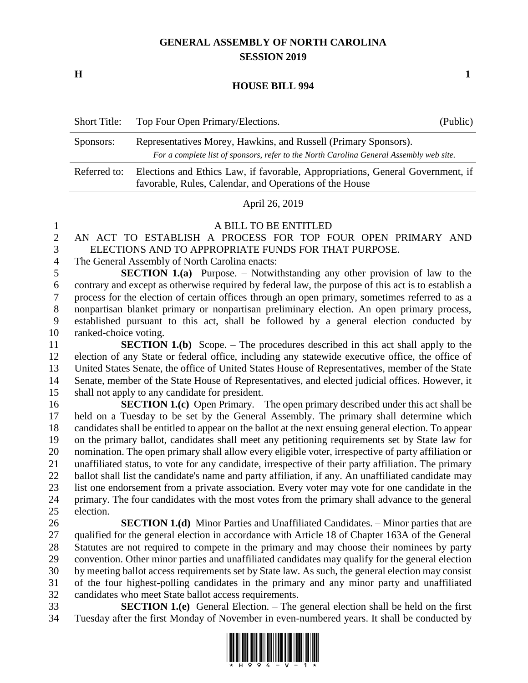## **GENERAL ASSEMBLY OF NORTH CAROLINA SESSION 2019**

**H 1**

**HOUSE BILL 994**

| <b>Short Title:</b> | Top Four Open Primary/Elections.                                                                                                                           | (Public) |
|---------------------|------------------------------------------------------------------------------------------------------------------------------------------------------------|----------|
| Sponsors:           | Representatives Morey, Hawkins, and Russell (Primary Sponsors).<br>For a complete list of sponsors, refer to the North Carolina General Assembly web site. |          |
| Referred to:        | Elections and Ethics Law, if favorable, Appropriations, General Government, if<br>favorable, Rules, Calendar, and Operations of the House                  |          |

April 26, 2019

A BILL TO BE ENTITLED

 AN ACT TO ESTABLISH A PROCESS FOR TOP FOUR OPEN PRIMARY AND ELECTIONS AND TO APPROPRIATE FUNDS FOR THAT PURPOSE.

The General Assembly of North Carolina enacts:

 **SECTION 1.(a)** Purpose. – Notwithstanding any other provision of law to the contrary and except as otherwise required by federal law, the purpose of this act is to establish a process for the election of certain offices through an open primary, sometimes referred to as a nonpartisan blanket primary or nonpartisan preliminary election. An open primary process, established pursuant to this act, shall be followed by a general election conducted by ranked-choice voting.

 **SECTION 1.(b)** Scope. – The procedures described in this act shall apply to the election of any State or federal office, including any statewide executive office, the office of United States Senate, the office of United States House of Representatives, member of the State Senate, member of the State House of Representatives, and elected judicial offices. However, it shall not apply to any candidate for president.

 **SECTION 1.(c)** Open Primary. – The open primary described under this act shall be held on a Tuesday to be set by the General Assembly. The primary shall determine which candidates shall be entitled to appear on the ballot at the next ensuing general election. To appear on the primary ballot, candidates shall meet any petitioning requirements set by State law for nomination. The open primary shall allow every eligible voter, irrespective of party affiliation or unaffiliated status, to vote for any candidate, irrespective of their party affiliation. The primary ballot shall list the candidate's name and party affiliation, if any. An unaffiliated candidate may list one endorsement from a private association. Every voter may vote for one candidate in the primary. The four candidates with the most votes from the primary shall advance to the general election.

 **SECTION 1.(d)** Minor Parties and Unaffiliated Candidates. – Minor parties that are qualified for the general election in accordance with Article 18 of Chapter 163A of the General Statutes are not required to compete in the primary and may choose their nominees by party convention. Other minor parties and unaffiliated candidates may qualify for the general election by meeting ballot access requirements set by State law. As such, the general election may consist of the four highest-polling candidates in the primary and any minor party and unaffiliated candidates who meet State ballot access requirements.

 **SECTION 1.(e)** General Election. – The general election shall be held on the first Tuesday after the first Monday of November in even-numbered years. It shall be conducted by